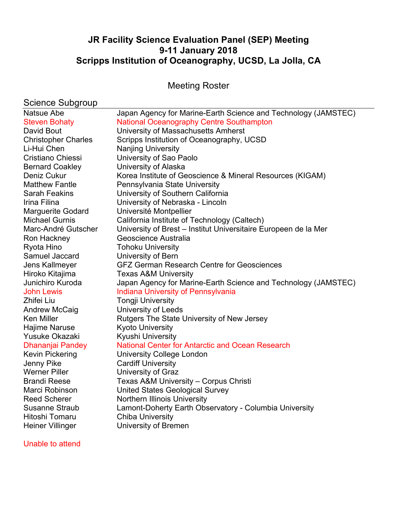# **JR Facility Science Evaluation Panel (SEP) Meeting 9-11 January 2018 Scripps Institution of Oceanography, UCSD, La Jolla, CA**

Meeting Roster

# Science Subgroup

| ין ייש ייש יידי יידי       |                                                                 |
|----------------------------|-----------------------------------------------------------------|
| Natsue Abe                 | Japan Agency for Marine-Earth Science and Technology (JAMSTEC)  |
| <b>Steven Bohaty</b>       | <b>National Oceanography Centre Southampton</b>                 |
| David Bout                 | University of Massachusetts Amherst                             |
| <b>Christopher Charles</b> | Scripps Institution of Oceanography, UCSD                       |
| Li-Hui Chen                | <b>Nanjing University</b>                                       |
| <b>Cristiano Chiessi</b>   | University of Sao Paolo                                         |
| <b>Bernard Coakley</b>     | University of Alaska                                            |
| Deniz Cukur                | Korea Institute of Geoscience & Mineral Resources (KIGAM)       |
| <b>Matthew Fantle</b>      | Pennsylvania State University                                   |
| <b>Sarah Feakins</b>       | University of Southern California                               |
| Irina Filina               | University of Nebraska - Lincoln                                |
| <b>Marguerite Godard</b>   | Université Montpellier                                          |
| <b>Michael Gurnis</b>      | California Institute of Technology (Caltech)                    |
| Marc-André Gutscher        | University of Brest - Institut Universitaire Europeen de la Mer |
| Ron Hackney                | Geoscience Australia                                            |
| Ryota Hino                 | <b>Tohoku University</b>                                        |
| Samuel Jaccard             | University of Bern                                              |
| Jens Kallmeyer             | <b>GFZ German Research Centre for Geosciences</b>               |
| Hiroko Kitajima            | <b>Texas A&amp;M University</b>                                 |
| Junichiro Kuroda           | Japan Agency for Marine-Earth Science and Technology (JAMSTEC)  |
| <b>John Lewis</b>          | <b>Indiana University of Pennsylvania</b>                       |
| Zhifei Liu                 | <b>Tongji University</b>                                        |
| Andrew McCaig              | University of Leeds                                             |
| <b>Ken Miller</b>          | Rutgers The State University of New Jersey                      |
| Hajime Naruse              | <b>Kyoto University</b>                                         |
| <b>Yusuke Okazaki</b>      | Kyushi University                                               |
| Dhananjai Pandey           | <b>National Center for Antarctic and Ocean Research</b>         |
| <b>Kevin Pickering</b>     | <b>University College London</b>                                |
| Jenny Pike                 | <b>Cardiff University</b>                                       |
| <b>Werner Piller</b>       | University of Graz                                              |
| <b>Brandi Reese</b>        | Texas A&M University - Corpus Christi                           |
| Marci Robinson             | <b>United States Geological Survey</b>                          |
| <b>Reed Scherer</b>        | Northern Illinois University                                    |
| <b>Susanne Straub</b>      | Lamont-Doherty Earth Observatory - Columbia University          |
| Hitoshi Tomaru             | <b>Chiba University</b>                                         |
| <b>Heiner Villinger</b>    | University of Bremen                                            |
|                            |                                                                 |

Unable to attend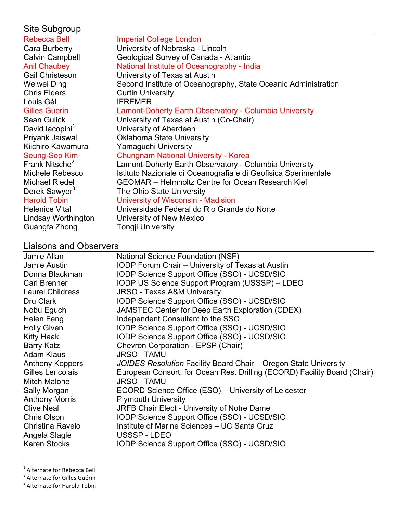# Site Subgroup

| <b>Rebecca Bell</b>         | <b>Imperial College London</b>                                 |
|-----------------------------|----------------------------------------------------------------|
| Cara Burberry               | University of Nebraska - Lincoln                               |
| <b>Calvin Campbell</b>      | Geological Survey of Canada - Atlantic                         |
| <b>Anil Chaubey</b>         | National Institute of Oceanography - India                     |
| <b>Gail Christeson</b>      | University of Texas at Austin                                  |
| Weiwei Ding                 | Second Institute of Oceanography, State Oceanic Administration |
| <b>Chris Elders</b>         | <b>Curtin University</b>                                       |
| Louis Géli                  | <b>IFREMER</b>                                                 |
| <b>Gilles Guerin</b>        | Lamont-Doherty Earth Observatory - Columbia University         |
| <b>Sean Gulick</b>          | University of Texas at Austin (Co-Chair)                       |
| David lacopini <sup>1</sup> | University of Aberdeen                                         |
| Priyank Jaiswal             | <b>Oklahoma State University</b>                               |
| Kiichiro Kawamura           | Yamaguchi University                                           |
| Seung-Sep Kim               | <b>Chungnam National University - Korea</b>                    |
| Frank Nitsche <sup>2</sup>  | Lamont-Doherty Earth Observatory - Columbia University         |
| Michele Rebesco             | Istituto Nazionale di Oceanografia e di Geofisica Sperimentale |
| <b>Michael Riedel</b>       | <b>GEOMAR</b> - Helmholtz Centre for Ocean Research Kiel       |
| Derek Sawyer <sup>3</sup>   | The Ohio State University                                      |
| <b>Harold Tobin</b>         | University of Wisconsin - Madision                             |
| <b>Helenice Vital</b>       | Universidade Federal do Rio Grande do Norte                    |
| Lindsay Worthington         | University of New Mexico                                       |
| Guangfa Zhong               | <b>Tongji University</b>                                       |

# Liaisons and Observers

| Jamie Allan             | National Science Foundation (NSF)                                        |
|-------------------------|--------------------------------------------------------------------------|
| Jamie Austin            | <b>IODP Forum Chair - University of Texas at Austin</b>                  |
| Donna Blackman          | IODP Science Support Office (SSO) - UCSD/SIO                             |
| <b>Carl Brenner</b>     | IODP US Science Support Program (USSSP) - LDEO                           |
| <b>Laurel Childress</b> | <b>JRSO - Texas A&amp;M University</b>                                   |
| Dru Clark               | IODP Science Support Office (SSO) - UCSD/SIO                             |
| Nobu Eguchi             | JAMSTEC Center for Deep Earth Exploration (CDEX)                         |
| Helen Feng              | Independent Consultant to the SSO                                        |
| <b>Holly Given</b>      | IODP Science Support Office (SSO) - UCSD/SIO                             |
| Kitty Haak              | IODP Science Support Office (SSO) - UCSD/SIO                             |
| <b>Barry Katz</b>       | Chevron Corporation - EPSP (Chair)                                       |
| <b>Adam Klaus</b>       | <b>JRSO-TAMU</b>                                                         |
| Anthony Koppers         | JOIDES Resolution Facility Board Chair - Oregon State University         |
| Gilles Lericolais       | European Consort. for Ocean Res. Drilling (ECORD) Facility Board (Chair) |
| <b>Mitch Malone</b>     | <b>JRSO-TAMU</b>                                                         |
| Sally Morgan            | ECORD Science Office (ESO) – University of Leicester                     |
| <b>Anthony Morris</b>   | <b>Plymouth University</b>                                               |
| <b>Clive Neal</b>       | JRFB Chair Elect - University of Notre Dame                              |
| Chris Olson             | IODP Science Support Office (SSO) - UCSD/SIO                             |
| Christina Ravelo        | Institute of Marine Sciences - UC Santa Cruz                             |
| Angela Slagle           | USSSP-LDEO                                                               |
| <b>Karen Stocks</b>     | IODP Science Support Office (SSO) - UCSD/SIO                             |

 $\frac{1}{1}$  Alternate for Beheese Bell  $^1$  Alternate for Rebecca Bell<br><sup>2</sup> Alternate for Gilles Guárin

 $^2$  Alternate for Gilles Guérin<br>3 Alternate for Harold Tebin

 $3$  Alternate for Harold Tobin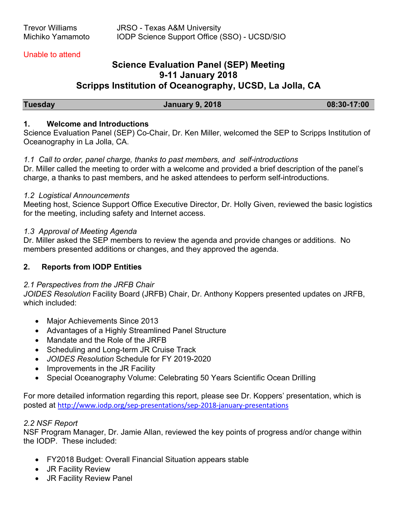#### Unable to attend

# **Science Evaluation Panel (SEP) Meeting 9-11 January 2018 Scripps Institution of Oceanography, UCSD, La Jolla, CA**

**Tuesday January 9, 2018 08:30-17:00** 

#### **1. Welcome and Introductions**

Science Evaluation Panel (SEP) Co-Chair, Dr. Ken Miller, welcomed the SEP to Scripps Institution of Oceanography in La Jolla, CA.

# *1.1 Call to order, panel charge, thanks to past members, and self-introductions*

Dr. Miller called the meeting to order with a welcome and provided a brief description of the panel's charge, a thanks to past members, and he asked attendees to perform self-introductions.

#### *1.2 Logistical Announcements*

Meeting host, Science Support Office Executive Director, Dr. Holly Given, reviewed the basic logistics for the meeting, including safety and Internet access.

#### *1.3 Approval of Meeting Agenda*

Dr. Miller asked the SEP members to review the agenda and provide changes or additions. No members presented additions or changes, and they approved the agenda.

# **2. Reports from IODP Entities**

# *2.1 Perspectives from the JRFB Chair*

*JOIDES Resolution* Facility Board (JRFB) Chair, Dr. Anthony Koppers presented updates on JRFB, which included:

- Major Achievements Since 2013
- Advantages of a Highly Streamlined Panel Structure
- Mandate and the Role of the JRFB
- Scheduling and Long-term JR Cruise Track
- *JOIDES Resolution* Schedule for FY 2019-2020
- Improvements in the JR Facility
- Special Oceanography Volume: Celebrating 50 Years Scientific Ocean Drilling

For more detailed information regarding this report, please see Dr. Koppers' presentation, which is posted at http://www.iodp.org/sep-presentations/sep-2018-january-presentations

# *2.2 NSF Report*

NSF Program Manager, Dr. Jamie Allan, reviewed the key points of progress and/or change within the IODP. These included:

- FY2018 Budget: Overall Financial Situation appears stable
- JR Facility Review
- JR Facility Review Panel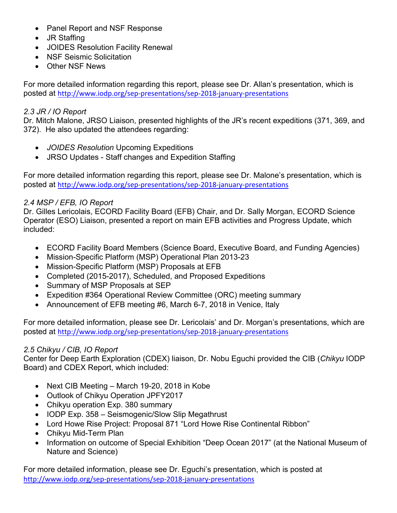- Panel Report and NSF Response
- JR Staffing
- JOIDES Resolution Facility Renewal
- NSF Seismic Solicitation
- Other NSF News

For more detailed information regarding this report, please see Dr. Allan's presentation, which is posted at http://www.iodp.org/sep-presentations/sep-2018-january-presentations

### *2.3 JR / IO Report*

Dr. Mitch Malone, JRSO Liaison, presented highlights of the JR's recent expeditions (371, 369, and 372). He also updated the attendees regarding:

- *JOIDES Resolution* Upcoming Expeditions
- JRSO Updates Staff changes and Expedition Staffing

For more detailed information regarding this report, please see Dr. Malone's presentation, which is posted at http://www.iodp.org/sep-presentations/sep-2018-january-presentations

# *2.4 MSP / EFB, IO Report*

Dr. Gilles Lericolais, ECORD Facility Board (EFB) Chair, and Dr. Sally Morgan, ECORD Science Operator (ESO) Liaison, presented a report on main EFB activities and Progress Update, which included:

- ECORD Facility Board Members (Science Board, Executive Board, and Funding Agencies)
- Mission-Specific Platform (MSP) Operational Plan 2013-23
- Mission-Specific Platform (MSP) Proposals at EFB
- Completed (2015-2017), Scheduled, and Proposed Expeditions
- Summary of MSP Proposals at SEP
- Expedition #364 Operational Review Committee (ORC) meeting summary
- Announcement of EFB meeting #6, March 6-7, 2018 in Venice, Italy

For more detailed information, please see Dr. Lericolais' and Dr. Morgan's presentations, which are posted at http://www.iodp.org/sep-presentations/sep-2018-january-presentations

# *2.5 Chikyu / CIB, IO Report*

Center for Deep Earth Exploration (CDEX) liaison, Dr. Nobu Eguchi provided the CIB (*Chikyu* IODP Board) and CDEX Report, which included:

- Next CIB Meeting March 19-20, 2018 in Kobe
- Outlook of Chikyu Operation JPFY2017
- Chikyu operation Exp. 380 summary
- IODP Exp. 358 Seismogenic/Slow Slip Megathrust
- Lord Howe Rise Project: Proposal 871 "Lord Howe Rise Continental Ribbon"
- Chikyu Mid-Term Plan
- Information on outcome of Special Exhibition "Deep Ocean 2017" (at the National Museum of Nature and Science)

For more detailed information, please see Dr. Eguchi's presentation, which is posted at http://www.iodp.org/sep-presentations/sep-2018-january-presentations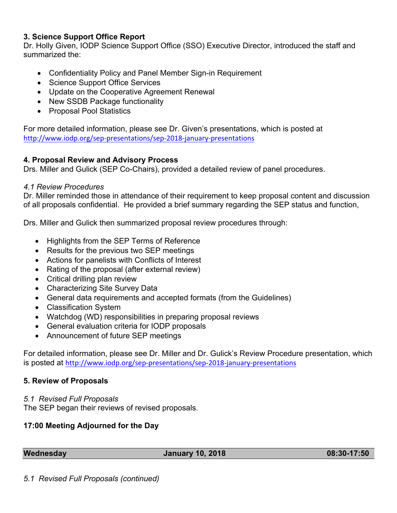### **3. Science Support Office Report**

Dr. Holly Given, IODP Science Support Office (SSO) Executive Director, introduced the staff and summarized the:

- Confidentiality Policy and Panel Member Sign-in Requirement
- Science Support Office Services
- Update on the Cooperative Agreement Renewal
- New SSDB Package functionality
- Proposal Pool Statistics

For more detailed information, please see Dr. Given's presentations, which is posted at http://www.iodp.org/sep-presentations/sep-2018-january-presentations

# **4. Proposal Review and Advisory Process**

Drs. Miller and Gulick (SEP Co-Chairs), provided a detailed review of panel procedures.

### *4.1 Review Procedures*

Dr. Miller reminded those in attendance of their requirement to keep proposal content and discussion of all proposals confidential. He provided a brief summary regarding the SEP status and function,

Drs. Miller and Gulick then summarized proposal review procedures through:

- Highlights from the SEP Terms of Reference
- Results for the previous two SEP meetings
- Actions for panelists with Conflicts of Interest
- Rating of the proposal (after external review)
- Critical drilling plan review
- Characterizing Site Survey Data
- General data requirements and accepted formats (from the Guidelines)
- Classification System
- Watchdog (WD) responsibilities in preparing proposal reviews
- General evaluation criteria for IODP proposals
- Announcement of future SEP meetings

For detailed information, please see Dr. Miller and Dr. Gulick's Review Procedure presentation, which is posted at http://www.iodp.org/sep-presentations/sep-2018-january-presentations

# **5. Review of Proposals**

*5.1 Revised Full Proposals*

The SEP began their reviews of revised proposals.

# **17:00 Meeting Adjourned for the Day**

**Wednesday January 10, 2018 08:30-17:50**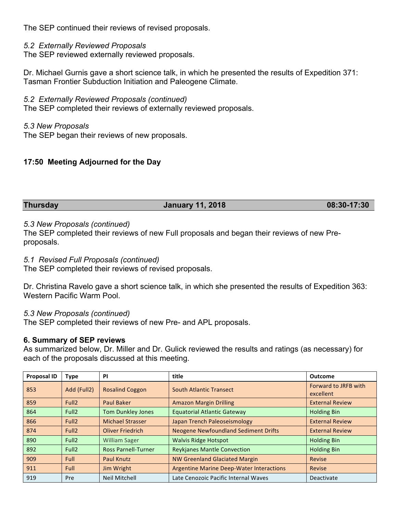The SEP continued their reviews of revised proposals.

*5.2 Externally Reviewed Proposals*

The SEP reviewed externally reviewed proposals.

Dr. Michael Gurnis gave a short science talk, in which he presented the results of Expedition 371: Tasman Frontier Subduction Initiation and Paleogene Climate.

*5.2 Externally Reviewed Proposals (continued)*

The SEP completed their reviews of externally reviewed proposals.

*5.3 New Proposals* The SEP began their reviews of new proposals.

# **17:50 Meeting Adjourned for the Day**

#### **Thursday January 11, 2018 08:30-17:30**

#### *5.3 New Proposals (continued)*

The SEP completed their reviews of new Full proposals and began their reviews of new Preproposals.

#### *5.1 Revised Full Proposals (continued)*

The SEP completed their reviews of revised proposals.

Dr. Christina Ravelo gave a short science talk, in which she presented the results of Expedition 363: Western Pacific Warm Pool.

#### *5.3 New Proposals (continued)*

The SEP completed their reviews of new Pre- and APL proposals.

#### **6. Summary of SEP reviews**

As summarized below, Dr. Miller and Dr. Gulick reviewed the results and ratings (as necessary) for each of the proposals discussed at this meeting.

| <b>Proposal ID</b> | Type              | <b>PI</b>                  | title                                           | <b>Outcome</b>                    |
|--------------------|-------------------|----------------------------|-------------------------------------------------|-----------------------------------|
| 853                | Add (Full2)       | <b>Rosalind Coggon</b>     | <b>South Atlantic Transect</b>                  | Forward to JRFB with<br>excellent |
| 859                | Full <sub>2</sub> | <b>Paul Baker</b>          | <b>Amazon Margin Drilling</b>                   | <b>External Review</b>            |
| 864                | Full <sub>2</sub> | <b>Tom Dunkley Jones</b>   | <b>Equatorial Atlantic Gateway</b>              | <b>Holding Bin</b>                |
| 866                | Full <sub>2</sub> | <b>Michael Strasser</b>    | Japan Trench Paleoseismology                    | <b>External Review</b>            |
| 874                | Full <sub>2</sub> | <b>Oliver Friedrich</b>    | <b>Neogene Newfoundland Sediment Drifts</b>     | <b>External Review</b>            |
| 890                | Full <sub>2</sub> | <b>William Sager</b>       | <b>Walvis Ridge Hotspot</b>                     | <b>Holding Bin</b>                |
| 892                | Full <sub>2</sub> | <b>Ross Parnell-Turner</b> | <b>Reykjanes Mantle Convection</b>              | <b>Holding Bin</b>                |
| 909                | <b>Full</b>       | <b>Paul Knutz</b>          | <b>NW Greenland Glaciated Margin</b>            | Revise                            |
| 911                | Full              | Jim Wright                 | <b>Argentine Marine Deep-Water Interactions</b> | Revise                            |
| 919                | Pre               | <b>Neil Mitchell</b>       | Late Cenozoic Pacific Internal Waves            | Deactivate                        |